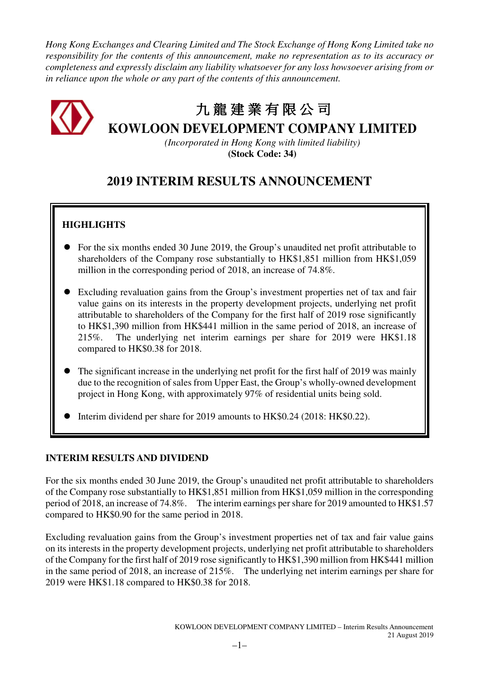*Hong Kong Exchanges and Clearing Limited and The Stock Exchange of Hong Kong Limited take no responsibility for the contents of this announcement, make no representation as to its accuracy or completeness and expressly disclaim any liability whatsoever for any loss howsoever arising from or in reliance upon the whole or any part of the contents of this announcement.* 



# 九 龍建業有限公司

**KOWLOON DEVELOPMENT COMPANY LIMITED** 

*(Incorporated in Hong Kong with limited liability)*  **(Stock Code: 34)** 

# **2019 INTERIM RESULTS ANNOUNCEMENT**

# **HIGHLIGHTS**

- For the six months ended 30 June 2019, the Group's unaudited net profit attributable to shareholders of the Company rose substantially to HK\$1,851 million from HK\$1,059 million in the corresponding period of 2018, an increase of 74.8%.
- Excluding revaluation gains from the Group's investment properties net of tax and fair value gains on its interests in the property development projects, underlying net profit attributable to shareholders of the Company for the first half of 2019 rose significantly to HK\$1,390 million from HK\$441 million in the same period of 2018, an increase of 215%. The underlying net interim earnings per share for 2019 were HK\$1.18 compared to HK\$0.38 for 2018.
- The significant increase in the underlying net profit for the first half of 2019 was mainly due to the recognition of sales from Upper East, the Group's wholly-owned development project in Hong Kong, with approximately 97% of residential units being sold.
- Interim dividend per share for 2019 amounts to HK\$0.24 (2018: HK\$0.22).

# **INTERIM RESULTS AND DIVIDEND**

For the six months ended 30 June 2019, the Group's unaudited net profit attributable to shareholders of the Company rose substantially to HK\$1,851 million from HK\$1,059 million in the corresponding period of 2018, an increase of 74.8%. The interim earnings per share for 2019 amounted to HK\$1.57 compared to HK\$0.90 for the same period in 2018.

Excluding revaluation gains from the Group's investment properties net of tax and fair value gains on its interests in the property development projects, underlying net profit attributable to shareholders of the Company for the first half of 2019 rose significantly to HK\$1,390 million from HK\$441 million in the same period of 2018, an increase of 215%. The underlying net interim earnings per share for 2019 were HK\$1.18 compared to HK\$0.38 for 2018.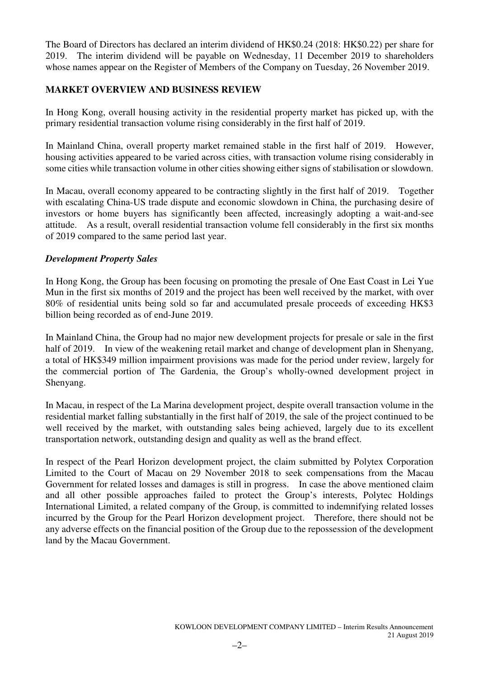The Board of Directors has declared an interim dividend of HK\$0.24 (2018: HK\$0.22) per share for 2019. The interim dividend will be payable on Wednesday, 11 December 2019 to shareholders whose names appear on the Register of Members of the Company on Tuesday, 26 November 2019.

# **MARKET OVERVIEW AND BUSINESS REVIEW**

In Hong Kong, overall housing activity in the residential property market has picked up, with the primary residential transaction volume rising considerably in the first half of 2019.

In Mainland China, overall property market remained stable in the first half of 2019. However, housing activities appeared to be varied across cities, with transaction volume rising considerably in some cities while transaction volume in other cities showing either signs of stabilisation or slowdown.

In Macau, overall economy appeared to be contracting slightly in the first half of 2019. Together with escalating China-US trade dispute and economic slowdown in China, the purchasing desire of investors or home buyers has significantly been affected, increasingly adopting a wait-and-see attitude. As a result, overall residential transaction volume fell considerably in the first six months of 2019 compared to the same period last year.

# *Development Property Sales*

In Hong Kong, the Group has been focusing on promoting the presale of One East Coast in Lei Yue Mun in the first six months of 2019 and the project has been well received by the market, with over 80% of residential units being sold so far and accumulated presale proceeds of exceeding HK\$3 billion being recorded as of end-June 2019.

In Mainland China, the Group had no major new development projects for presale or sale in the first half of 2019. In view of the weakening retail market and change of development plan in Shenyang, a total of HK\$349 million impairment provisions was made for the period under review, largely for the commercial portion of The Gardenia, the Group's wholly-owned development project in Shenyang.

In Macau, in respect of the La Marina development project, despite overall transaction volume in the residential market falling substantially in the first half of 2019, the sale of the project continued to be well received by the market, with outstanding sales being achieved, largely due to its excellent transportation network, outstanding design and quality as well as the brand effect.

In respect of the Pearl Horizon development project, the claim submitted by Polytex Corporation Limited to the Court of Macau on 29 November 2018 to seek compensations from the Macau Government for related losses and damages is still in progress. In case the above mentioned claim and all other possible approaches failed to protect the Group's interests, Polytec Holdings International Limited, a related company of the Group, is committed to indemnifying related losses incurred by the Group for the Pearl Horizon development project. Therefore, there should not be any adverse effects on the financial position of the Group due to the repossession of the development land by the Macau Government.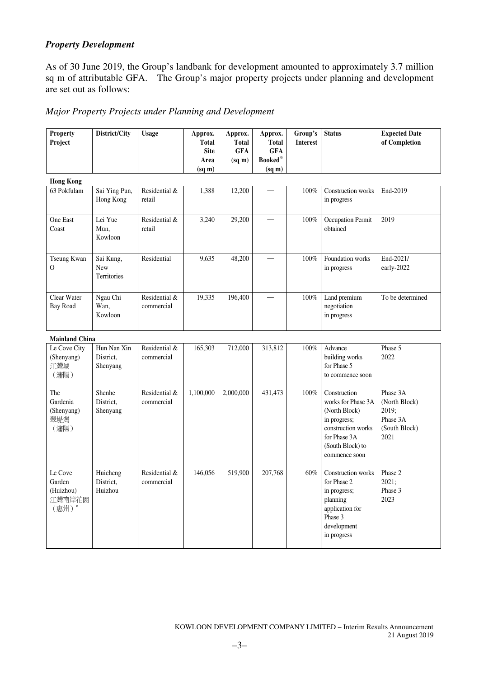# *Property Development*

As of 30 June 2019, the Group's landbank for development amounted to approximately 3.7 million sq m of attributable GFA. The Group's major property projects under planning and development are set out as follows:

# *Major Property Projects under Planning and Development*

| <b>Property</b>       | District/City         | <b>Usage</b>  | Approx.                     | Approx.                    | Approx.                    | Group's         | <b>Status</b>                      | <b>Expected Date</b>  |
|-----------------------|-----------------------|---------------|-----------------------------|----------------------------|----------------------------|-----------------|------------------------------------|-----------------------|
| Project               |                       |               | <b>Total</b><br><b>Site</b> | <b>Total</b><br><b>GFA</b> | <b>Total</b><br><b>GFA</b> | <b>Interest</b> |                                    | of Completion         |
|                       |                       |               | Area                        | $(sq \, \text{m})$         | <b>Booked</b> *            |                 |                                    |                       |
|                       |                       |               | $(sq \, \text{m})$          |                            | (sq m)                     |                 |                                    |                       |
| <b>Hong Kong</b>      |                       |               |                             |                            |                            |                 |                                    |                       |
| 63 Pokfulam           | Sai Ying Pun,         | Residential & | 1,388                       | 12,200                     |                            | $100\%$         | Construction works                 | End-2019              |
|                       | Hong Kong             | retail        |                             |                            |                            |                 | in progress                        |                       |
| One East              | Lei Yue               | Residential & | 3,240                       | 29,200                     |                            | 100%            | Occupation Permit                  | 2019                  |
| Coast                 | Mun,                  | retail        |                             |                            |                            |                 | obtained                           |                       |
|                       | Kowloon               |               |                             |                            |                            |                 |                                    |                       |
| Tseung Kwan           | Sai Kung,             | Residential   | 9,635                       | 48,200                     |                            | 100%            | Foundation works                   | End-2021/             |
| O                     | New<br>Territories    |               |                             |                            |                            |                 | in progress                        | early-2022            |
|                       |                       |               |                             |                            |                            |                 |                                    |                       |
| Clear Water           | Ngau Chi              | Residential & | 19,335                      | 196,400                    |                            | 100%            | Land premium                       | To be determined      |
| <b>Bay Road</b>       | Wan,<br>Kowloon       | commercial    |                             |                            |                            |                 | negotiation                        |                       |
|                       |                       |               |                             |                            |                            |                 | in progress                        |                       |
| <b>Mainland China</b> |                       |               |                             |                            |                            |                 |                                    |                       |
| Le Cove City          | Hun Nan Xin           | Residential & | 165,303                     | 712,000                    | 313,812                    | $100\%$         | Advance                            | Phase 5               |
| (Shenyang)<br>江灣城     | District.<br>Shenyang | commercial    |                             |                            |                            |                 | building works<br>for Phase 5      | 2022                  |
| (瀋陽)                  |                       |               |                             |                            |                            |                 | to commence soon                   |                       |
| The                   | Shenhe                | Residential & | 1,100,000                   | 2,000,000                  | 431,473                    | 100%            | Construction                       | Phase 3A              |
| Gardenia              | District,             | commercial    |                             |                            |                            |                 | works for Phase 3A                 | (North Block)         |
| (Shenyang)            | Shenyang              |               |                             |                            |                            |                 | (North Block)                      | 2019;                 |
| 翠堤灣                   |                       |               |                             |                            |                            |                 | in progress;                       | Phase 3A              |
| (瀋陽)                  |                       |               |                             |                            |                            |                 | construction works<br>for Phase 3A | (South Block)<br>2021 |
|                       |                       |               |                             |                            |                            |                 | (South Block) to                   |                       |
|                       |                       |               |                             |                            |                            |                 | commence soon                      |                       |
| Le Cove               | Huicheng              | Residential & | 146,056                     | 519,900                    | 207,768                    | 60%             | Construction works                 | Phase 2               |
| Garden                | District,             | commercial    |                             |                            |                            |                 | for Phase 2                        | 2021;                 |
| (Huizhou)<br>江灣南岸花園   | Huizhou               |               |                             |                            |                            |                 | in progress;<br>planning           | Phase 3<br>2023       |
| (惠州)                  |                       |               |                             |                            |                            |                 | application for                    |                       |
|                       |                       |               |                             |                            |                            |                 | Phase 3                            |                       |
|                       |                       |               |                             |                            |                            |                 | development<br>in progress         |                       |
|                       |                       |               |                             |                            |                            |                 |                                    |                       |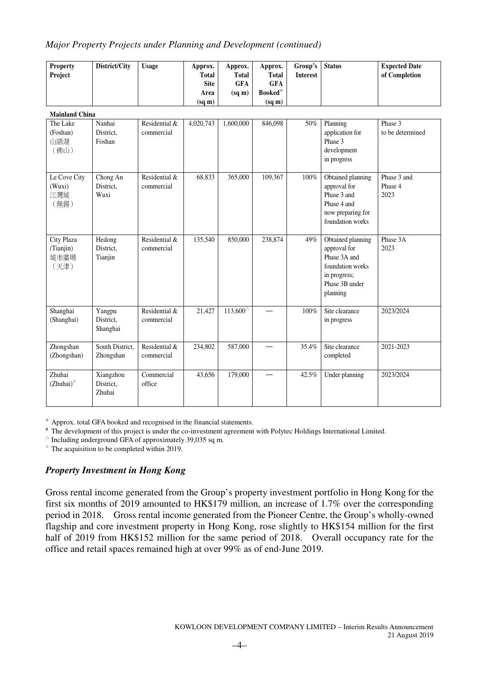### *Major Property Projects under Planning and Development (continued)*

| <b>Property</b><br>Project              | District/City                    | <b>Usage</b>                | Approx.<br>Total<br><b>Site</b><br>Area<br>$(sq \, \text{m})$ | Approx.<br><b>Total</b><br><b>GFA</b><br>$(sq \, \text{m})$ | Approx.<br><b>Total</b><br><b>GFA</b><br>Booked*<br>(sq m) | Group's<br><b>Interest</b> | <b>Status</b>                                                                                                       | <b>Expected Date</b><br>of Completion |
|-----------------------------------------|----------------------------------|-----------------------------|---------------------------------------------------------------|-------------------------------------------------------------|------------------------------------------------------------|----------------------------|---------------------------------------------------------------------------------------------------------------------|---------------------------------------|
| <b>Mainland China</b>                   |                                  |                             |                                                               |                                                             |                                                            |                            |                                                                                                                     |                                       |
| The Lake<br>(Foshan)<br>山語湖<br>(佛山)     | Nanhai<br>District,<br>Foshan    | Residential &<br>commercial | 4,020,743                                                     | 1,600,000                                                   | 846,098                                                    | 50%                        | Planning<br>application for<br>Phase 3<br>development<br>in progress                                                | Phase 3<br>to be determined           |
| Le Cove City<br>(Wuxi)<br>江灣城<br>(無錫)   | Chong An<br>District,<br>Wuxi    | Residential &<br>commercial | 68,833                                                        | 365,000                                                     | 109,367                                                    | $100\%$                    | Obtained planning<br>approval for<br>Phase 3 and<br>Phase 4 and<br>now preparing for<br>foundation works            | Phase 3 and<br>Phase 4<br>2023        |
| City Plaza<br>(Tianjin)<br>城市廣場<br>(天津) | Hedong<br>District,<br>Tianjin   | Residential &<br>commercial | 135,540                                                       | 850,000                                                     | 238,874                                                    | 49%                        | Obtained planning<br>approval for<br>Phase 3A and<br>foundation works<br>in progress;<br>Phase 3B under<br>planning | Phase 3A<br>2023                      |
| Shanghai<br>(Shanghai)                  | Yangpu<br>District,<br>Shanghai  | Residential &<br>commercial | 21,427                                                        | $113,600^{\circ}$                                           |                                                            | $100\%$                    | Site clearance<br>in progress                                                                                       | 2023/2024                             |
| Zhongshan<br>(Zhongshan)                | South District,<br>Zhongshan     | Residential &<br>commercial | 234,802                                                       | 587,000                                                     |                                                            | 35.4%                      | Site clearance<br>completed                                                                                         | 2021-2023                             |
| Zhuhai<br>$(Zhuhai)$ <sup>®</sup>       | Xiangzhou<br>District,<br>Zhuhai | Commercial<br>office        | 43,656                                                        | 179,000                                                     |                                                            | 42.5%                      | Under planning                                                                                                      | 2023/2024                             |

※ Approx. total GFA booked and recognised in the financial statements.

# The development of this project is under the co-investment agreement with Polytec Holdings International Limited.

 $\triangle$  Including underground GFA of approximately 39,035 sq m.

⊕ The acquisition to be completed within 2019.

# *Property Investment in Hong Kong*

Gross rental income generated from the Group's property investment portfolio in Hong Kong for the first six months of 2019 amounted to HK\$179 million, an increase of 1.7% over the corresponding period in 2018. Gross rental income generated from the Pioneer Centre, the Group's wholly-owned flagship and core investment property in Hong Kong, rose slightly to HK\$154 million for the first half of 2019 from HK\$152 million for the same period of 2018. Overall occupancy rate for the office and retail spaces remained high at over 99% as of end-June 2019.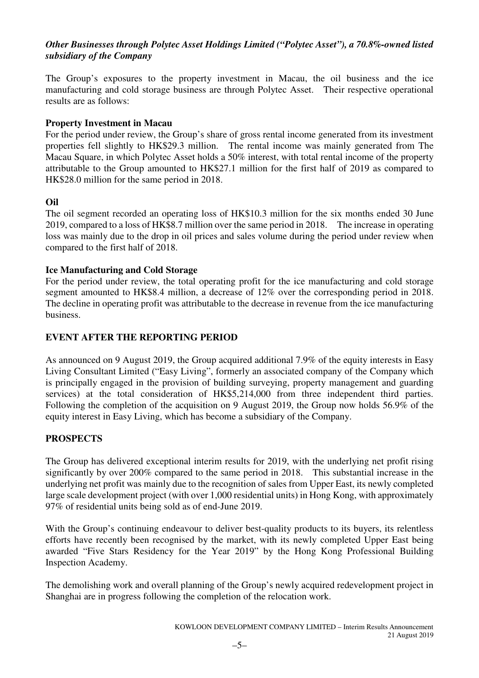# *Other Businesses through Polytec Asset Holdings Limited ("Polytec Asset"), a 70.8%-owned listed subsidiary of the Company*

The Group's exposures to the property investment in Macau, the oil business and the ice manufacturing and cold storage business are through Polytec Asset. Their respective operational results are as follows:

# **Property Investment in Macau**

For the period under review, the Group's share of gross rental income generated from its investment properties fell slightly to HK\$29.3 million. The rental income was mainly generated from The Macau Square, in which Polytec Asset holds a 50% interest, with total rental income of the property attributable to the Group amounted to HK\$27.1 million for the first half of 2019 as compared to HK\$28.0 million for the same period in 2018.

# **Oil**

The oil segment recorded an operating loss of HK\$10.3 million for the six months ended 30 June 2019, compared to a loss of HK\$8.7 million over the same period in 2018. The increase in operating loss was mainly due to the drop in oil prices and sales volume during the period under review when compared to the first half of 2018.

# **Ice Manufacturing and Cold Storage**

For the period under review, the total operating profit for the ice manufacturing and cold storage segment amounted to HK\$8.4 million, a decrease of 12% over the corresponding period in 2018. The decline in operating profit was attributable to the decrease in revenue from the ice manufacturing business.

# **EVENT AFTER THE REPORTING PERIOD**

As announced on 9 August 2019, the Group acquired additional 7.9% of the equity interests in Easy Living Consultant Limited ("Easy Living", formerly an associated company of the Company which is principally engaged in the provision of building surveying, property management and guarding services) at the total consideration of HK\$5,214,000 from three independent third parties. Following the completion of the acquisition on 9 August 2019, the Group now holds 56.9% of the equity interest in Easy Living, which has become a subsidiary of the Company.

# **PROSPECTS**

The Group has delivered exceptional interim results for 2019, with the underlying net profit rising significantly by over 200% compared to the same period in 2018. This substantial increase in the underlying net profit was mainly due to the recognition of sales from Upper East, its newly completed large scale development project (with over 1,000 residential units) in Hong Kong, with approximately 97% of residential units being sold as of end-June 2019.

With the Group's continuing endeavour to deliver best-quality products to its buyers, its relentless efforts have recently been recognised by the market, with its newly completed Upper East being awarded "Five Stars Residency for the Year 2019" by the Hong Kong Professional Building Inspection Academy.

The demolishing work and overall planning of the Group's newly acquired redevelopment project in Shanghai are in progress following the completion of the relocation work.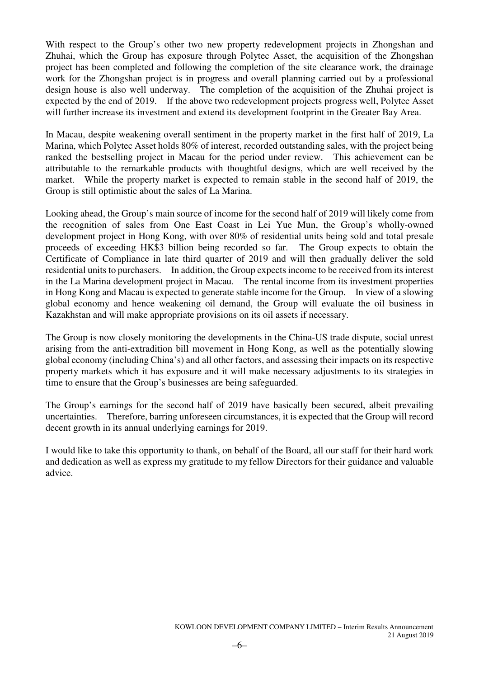With respect to the Group's other two new property redevelopment projects in Zhongshan and Zhuhai, which the Group has exposure through Polytec Asset, the acquisition of the Zhongshan project has been completed and following the completion of the site clearance work, the drainage work for the Zhongshan project is in progress and overall planning carried out by a professional design house is also well underway. The completion of the acquisition of the Zhuhai project is expected by the end of 2019. If the above two redevelopment projects progress well, Polytec Asset will further increase its investment and extend its development footprint in the Greater Bay Area.

In Macau, despite weakening overall sentiment in the property market in the first half of 2019, La Marina, which Polytec Asset holds 80% of interest, recorded outstanding sales, with the project being ranked the bestselling project in Macau for the period under review. This achievement can be attributable to the remarkable products with thoughtful designs, which are well received by the market. While the property market is expected to remain stable in the second half of 2019, the Group is still optimistic about the sales of La Marina.

Looking ahead, the Group's main source of income for the second half of 2019 will likely come from the recognition of sales from One East Coast in Lei Yue Mun, the Group's wholly-owned development project in Hong Kong, with over 80% of residential units being sold and total presale proceeds of exceeding HK\$3 billion being recorded so far. The Group expects to obtain the Certificate of Compliance in late third quarter of 2019 and will then gradually deliver the sold residential units to purchasers. In addition, the Group expects income to be received from its interest in the La Marina development project in Macau. The rental income from its investment properties in Hong Kong and Macau is expected to generate stable income for the Group. In view of a slowing global economy and hence weakening oil demand, the Group will evaluate the oil business in Kazakhstan and will make appropriate provisions on its oil assets if necessary.

The Group is now closely monitoring the developments in the China-US trade dispute, social unrest arising from the anti-extradition bill movement in Hong Kong, as well as the potentially slowing global economy (including China's) and all other factors, and assessing their impacts on its respective property markets which it has exposure and it will make necessary adjustments to its strategies in time to ensure that the Group's businesses are being safeguarded.

The Group's earnings for the second half of 2019 have basically been secured, albeit prevailing uncertainties. Therefore, barring unforeseen circumstances, it is expected that the Group will record decent growth in its annual underlying earnings for 2019.

I would like to take this opportunity to thank, on behalf of the Board, all our staff for their hard work and dedication as well as express my gratitude to my fellow Directors for their guidance and valuable advice.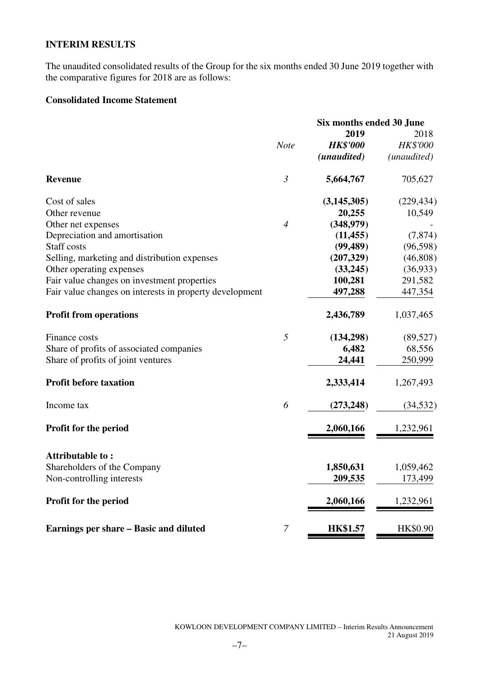# **INTERIM RESULTS**

The unaudited consolidated results of the Group for the six months ended 30 June 2019 together with the comparative figures for 2018 are as follows:

# **Consolidated Income Statement**

|                                                         |                | Six months ended 30 June |             |
|---------------------------------------------------------|----------------|--------------------------|-------------|
|                                                         |                | 2019                     | 2018        |
|                                                         | <b>Note</b>    | <b>HK\$'000</b>          | HK\$'000    |
|                                                         |                | (unaudited)              | (unaudited) |
| <b>Revenue</b>                                          | $\mathfrak{Z}$ | 5,664,767                | 705,627     |
| Cost of sales                                           |                | (3, 145, 305)            | (229, 434)  |
| Other revenue                                           |                | 20,255                   | 10,549      |
| Other net expenses                                      | $\overline{4}$ | (348,979)                |             |
| Depreciation and amortisation                           |                | (11, 455)                | (7, 874)    |
| Staff costs                                             |                | (99, 489)                | (96, 598)   |
| Selling, marketing and distribution expenses            |                | (207, 329)               | (46, 808)   |
| Other operating expenses                                |                | (33,245)                 | (36,933)    |
| Fair value changes on investment properties             |                | 100,281                  | 291,582     |
| Fair value changes on interests in property development |                | 497,288                  | 447,354     |
| <b>Profit from operations</b>                           |                | 2,436,789                | 1,037,465   |
| Finance costs                                           | 5              | (134,298)                | (89, 527)   |
| Share of profits of associated companies                |                | 6,482                    | 68,556      |
| Share of profits of joint ventures                      |                | 24,441                   | 250,999     |
| <b>Profit before taxation</b>                           |                | 2,333,414                | 1,267,493   |
| Income tax                                              | 6              | (273, 248)               | (34, 532)   |
| Profit for the period                                   |                | 2,060,166                | 1,232,961   |
| Attributable to:                                        |                |                          |             |
| Shareholders of the Company                             |                | 1,850,631                | 1,059,462   |
| Non-controlling interests                               |                | 209,535                  | 173,499     |
|                                                         |                |                          |             |
| Profit for the period                                   |                | 2,060,166                | 1,232,961   |
| Earnings per share - Basic and diluted                  | $\overline{7}$ | <b>HK\$1.57</b>          | HK\$0.90    |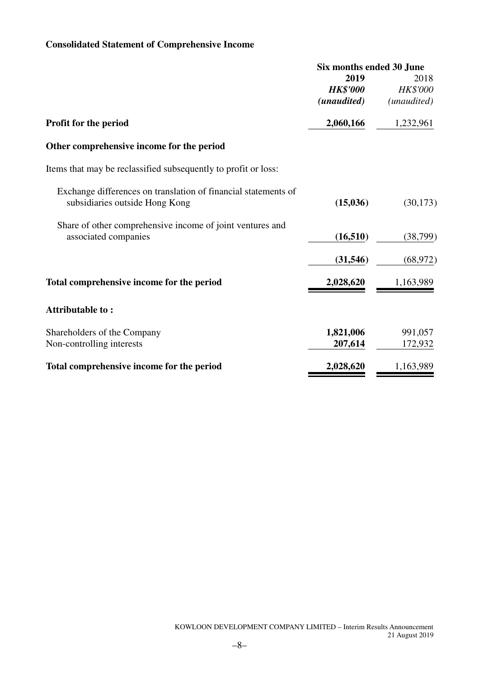# **Consolidated Statement of Comprehensive Income**

|                                                                | Six months ended 30 June |                 |
|----------------------------------------------------------------|--------------------------|-----------------|
|                                                                | 2019                     | 2018            |
|                                                                | <b>HK\$'000</b>          | <b>HK\$'000</b> |
|                                                                | (unaudited)              | (unaudited)     |
| <b>Profit for the period</b>                                   | 2,060,166                | 1,232,961       |
| Other comprehensive income for the period                      |                          |                 |
| Items that may be reclassified subsequently to profit or loss: |                          |                 |
| Exchange differences on translation of financial statements of |                          |                 |
| subsidiaries outside Hong Kong                                 | (15,036)                 | (30, 173)       |
| Share of other comprehensive income of joint ventures and      |                          |                 |
| associated companies                                           | (16, 510)                | (38, 799)       |
|                                                                | (31, 546)                | (68, 972)       |
| Total comprehensive income for the period                      | 2,028,620                | 1,163,989       |
| Attributable to:                                               |                          |                 |
| Shareholders of the Company                                    | 1,821,006                | 991,057         |
| Non-controlling interests                                      | 207,614                  | 172,932         |
| Total comprehensive income for the period                      | 2,028,620                | 1,163,989       |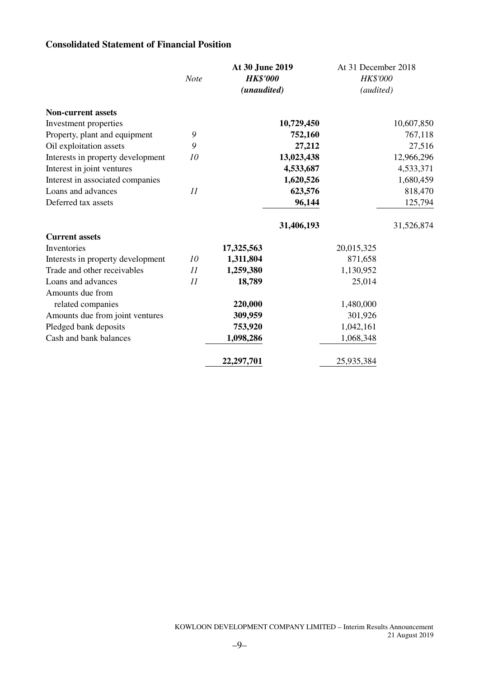# **Consolidated Statement of Financial Position**

|                                   |             | At 30 June 2019 |            | At 31 December 2018 |            |
|-----------------------------------|-------------|-----------------|------------|---------------------|------------|
|                                   | <b>Note</b> | <b>HK\$'000</b> |            | HK\$'000            |            |
|                                   |             | (unaudited)     |            | (audited)           |            |
| <b>Non-current assets</b>         |             |                 |            |                     |            |
| Investment properties             |             |                 | 10,729,450 |                     | 10,607,850 |
| Property, plant and equipment     | 9           |                 | 752,160    |                     | 767,118    |
| Oil exploitation assets           | 9           |                 | 27,212     |                     | 27,516     |
| Interests in property development | 10          |                 | 13,023,438 |                     | 12,966,296 |
| Interest in joint ventures        |             |                 | 4,533,687  |                     | 4,533,371  |
| Interest in associated companies  |             |                 | 1,620,526  |                     | 1,680,459  |
| Loans and advances                | 11          |                 | 623,576    |                     | 818,470    |
| Deferred tax assets               |             |                 | 96,144     |                     | 125,794    |
|                                   |             |                 | 31,406,193 |                     | 31,526,874 |
| <b>Current assets</b>             |             |                 |            |                     |            |
| Inventories                       |             | 17,325,563      |            | 20,015,325          |            |
| Interests in property development | 10          | 1,311,804       |            | 871,658             |            |
| Trade and other receivables       | 11          | 1,259,380       |            | 1,130,952           |            |
| Loans and advances                | 11          | 18,789          |            | 25,014              |            |
| Amounts due from                  |             |                 |            |                     |            |
| related companies                 |             | 220,000         |            | 1,480,000           |            |
| Amounts due from joint ventures   |             | 309,959         |            | 301,926             |            |
| Pledged bank deposits             |             | 753,920         |            | 1,042,161           |            |
| Cash and bank balances            |             | 1,098,286       |            | 1,068,348           |            |
|                                   |             | 22,297,701      |            | 25,935,384          |            |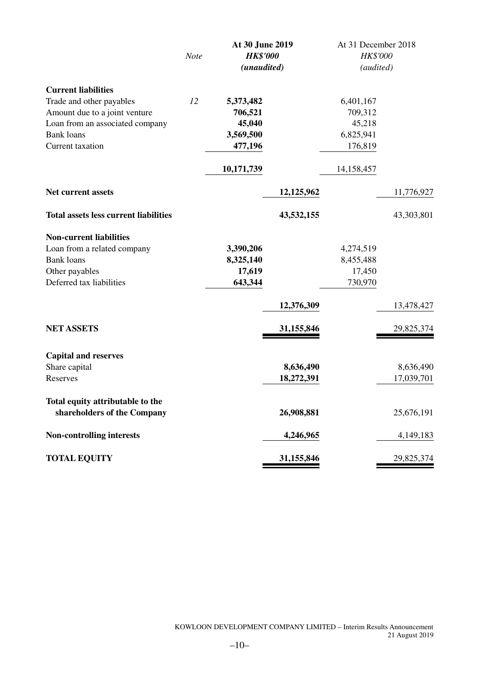|                                              |             |                 | At 30 June 2019 |            | At 31 December 2018 |  |
|----------------------------------------------|-------------|-----------------|-----------------|------------|---------------------|--|
|                                              | <b>Note</b> | <b>HK\$'000</b> |                 | HK\$'000   |                     |  |
|                                              |             | (unaudited)     |                 | (audited)  |                     |  |
| <b>Current liabilities</b>                   |             |                 |                 |            |                     |  |
| Trade and other payables                     | 12          | 5,373,482       |                 | 6,401,167  |                     |  |
| Amount due to a joint venture                |             | 706,521         |                 | 709,312    |                     |  |
| Loan from an associated company              |             | 45,040          |                 | 45,218     |                     |  |
| <b>Bank loans</b>                            |             | 3,569,500       |                 | 6,825,941  |                     |  |
| Current taxation                             |             | 477,196         |                 | 176,819    |                     |  |
|                                              |             | 10,171,739      |                 | 14,158,457 |                     |  |
| Net current assets                           |             |                 | 12,125,962      |            | 11,776,927          |  |
| <b>Total assets less current liabilities</b> |             |                 | 43,532,155      |            | 43,303,801          |  |
| <b>Non-current liabilities</b>               |             |                 |                 |            |                     |  |
| Loan from a related company                  |             | 3,390,206       |                 | 4,274,519  |                     |  |
| <b>Bank loans</b>                            |             | 8,325,140       |                 | 8,455,488  |                     |  |
| Other payables                               |             | 17,619          |                 | 17,450     |                     |  |
| Deferred tax liabilities                     |             | 643,344         |                 | 730,970    |                     |  |
|                                              |             |                 | 12,376,309      |            | 13,478,427          |  |
| <b>NET ASSETS</b>                            |             |                 | 31,155,846      |            | 29,825,374          |  |
| <b>Capital and reserves</b>                  |             |                 |                 |            |                     |  |
| Share capital                                |             |                 | 8,636,490       |            | 8,636,490           |  |
| Reserves                                     |             |                 | 18,272,391      |            | 17,039,701          |  |
| Total equity attributable to the             |             |                 |                 |            |                     |  |
| shareholders of the Company                  |             |                 | 26,908,881      |            | 25,676,191          |  |
| <b>Non-controlling interests</b>             |             |                 | 4,246,965       |            | 4,149,183           |  |
| <b>TOTAL EQUITY</b>                          |             |                 | 31,155,846      |            | 29,825,374          |  |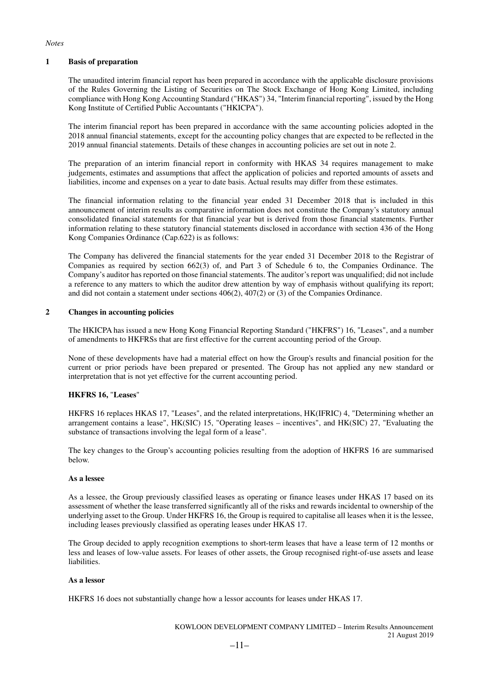#### *Notes*

#### **1 Basis of preparation**

The unaudited interim financial report has been prepared in accordance with the applicable disclosure provisions of the Rules Governing the Listing of Securities on The Stock Exchange of Hong Kong Limited, including compliance with Hong Kong Accounting Standard ("HKAS") 34, "Interim financial reporting", issued by the Hong Kong Institute of Certified Public Accountants ("HKICPA").

The interim financial report has been prepared in accordance with the same accounting policies adopted in the 2018 annual financial statements, except for the accounting policy changes that are expected to be reflected in the 2019 annual financial statements. Details of these changes in accounting policies are set out in note 2.

The preparation of an interim financial report in conformity with HKAS 34 requires management to make judgements, estimates and assumptions that affect the application of policies and reported amounts of assets and liabilities, income and expenses on a year to date basis. Actual results may differ from these estimates.

The financial information relating to the financial year ended 31 December 2018 that is included in this announcement of interim results as comparative information does not constitute the Company's statutory annual consolidated financial statements for that financial year but is derived from those financial statements. Further information relating to these statutory financial statements disclosed in accordance with section 436 of the Hong Kong Companies Ordinance (Cap.622) is as follows:

The Company has delivered the financial statements for the year ended 31 December 2018 to the Registrar of Companies as required by section 662(3) of, and Part 3 of Schedule 6 to, the Companies Ordinance. The Company's auditor has reported on those financial statements. The auditor's report was unqualified; did not include a reference to any matters to which the auditor drew attention by way of emphasis without qualifying its report; and did not contain a statement under sections 406(2), 407(2) or (3) of the Companies Ordinance.

### **2 Changes in accounting policies**

The HKICPA has issued a new Hong Kong Financial Reporting Standard ("HKFRS") 16, "Leases", and a number of amendments to HKFRSs that are first effective for the current accounting period of the Group.

None of these developments have had a material effect on how the Group's results and financial position for the current or prior periods have been prepared or presented. The Group has not applied any new standard or interpretation that is not yet effective for the current accounting period.

### **HKFRS 16,** "**Leases**"

HKFRS 16 replaces HKAS 17, "Leases", and the related interpretations, HK(IFRIC) 4, "Determining whether an arrangement contains a lease", HK(SIC) 15, "Operating leases – incentives", and HK(SIC) 27, "Evaluating the substance of transactions involving the legal form of a lease".

The key changes to the Group's accounting policies resulting from the adoption of HKFRS 16 are summarised below.

#### **As a lessee**

As a lessee, the Group previously classified leases as operating or finance leases under HKAS 17 based on its assessment of whether the lease transferred significantly all of the risks and rewards incidental to ownership of the underlying asset to the Group. Under HKFRS 16, the Group is required to capitalise all leases when it is the lessee, including leases previously classified as operating leases under HKAS 17.

The Group decided to apply recognition exemptions to short-term leases that have a lease term of 12 months or less and leases of low-value assets. For leases of other assets, the Group recognised right-of-use assets and lease liabilities.

#### **As a lessor**

HKFRS 16 does not substantially change how a lessor accounts for leases under HKAS 17.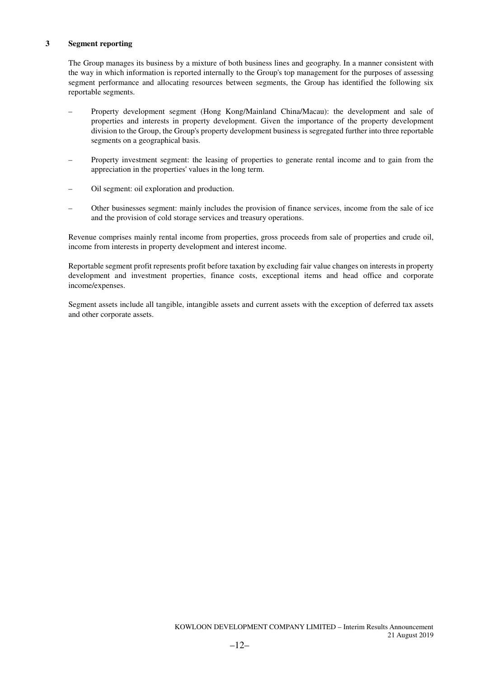### **3 Segment reporting**

The Group manages its business by a mixture of both business lines and geography. In a manner consistent with the way in which information is reported internally to the Group's top management for the purposes of assessing segment performance and allocating resources between segments, the Group has identified the following six reportable segments.

- Property development segment (Hong Kong/Mainland China/Macau): the development and sale of properties and interests in property development. Given the importance of the property development division to the Group, the Group's property development business is segregated further into three reportable segments on a geographical basis.
- Property investment segment: the leasing of properties to generate rental income and to gain from the appreciation in the properties' values in the long term.
- Oil segment: oil exploration and production.
- Other businesses segment: mainly includes the provision of finance services, income from the sale of ice and the provision of cold storage services and treasury operations.

Revenue comprises mainly rental income from properties, gross proceeds from sale of properties and crude oil, income from interests in property development and interest income.

Reportable segment profit represents profit before taxation by excluding fair value changes on interests in property development and investment properties, finance costs, exceptional items and head office and corporate income/expenses.

Segment assets include all tangible, intangible assets and current assets with the exception of deferred tax assets and other corporate assets.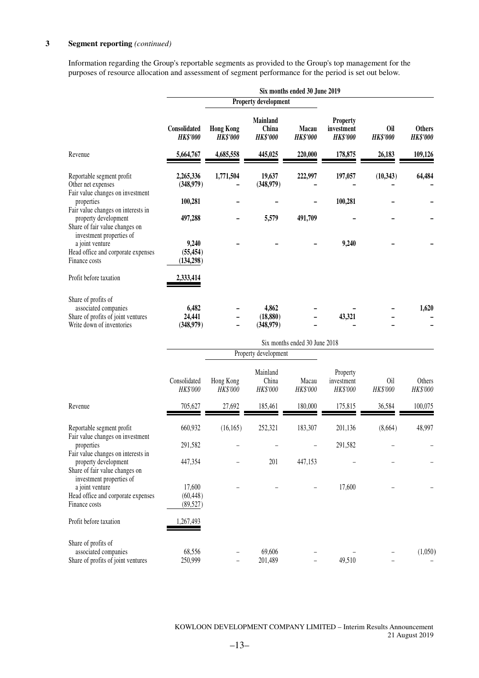### **3 Segment reporting** *(continued)*

Information regarding the Group's reportable segments as provided to the Group's top management for the purposes of resource allocation and assessment of segment performance for the period is set out below.

|                                                                                                                          | Six months ended 30 June 2019    |                                     |                                             |                               |                                                  |                        |                                  |  |
|--------------------------------------------------------------------------------------------------------------------------|----------------------------------|-------------------------------------|---------------------------------------------|-------------------------------|--------------------------------------------------|------------------------|----------------------------------|--|
|                                                                                                                          |                                  |                                     | <b>Property development</b>                 |                               |                                                  |                        |                                  |  |
|                                                                                                                          | Consolidated<br><b>HK\$'000</b>  | <b>Hong Kong</b><br><b>HK\$'000</b> | <b>Mainland</b><br>China<br><b>HK\$'000</b> | Macau<br><b>HK\$'000</b>      | <b>Property</b><br>investment<br><b>HK\$'000</b> | Oil<br><b>HK\$'000</b> | <b>Others</b><br><b>HK\$'000</b> |  |
| Revenue                                                                                                                  | 5,664,767                        | 4,685,558                           | 445,025                                     | 220,000                       | 178,875                                          | 26,183                 | 109,126                          |  |
| Reportable segment profit<br>Other net expenses                                                                          | 2,265,336<br>(348,979)           | 1,771,504                           | 19,637<br>(348,979)                         | 222,997                       | 197,057                                          | (10, 343)              | 64,484                           |  |
| Fair value changes on investment<br>properties                                                                           | 100,281                          |                                     |                                             |                               | 100,281                                          |                        |                                  |  |
| Fair value changes on interests in<br>property development<br>Share of fair value changes on                             | 497,288                          |                                     | 5,579                                       | 491,709                       |                                                  |                        |                                  |  |
| investment properties of<br>a joint venture<br>Head office and corporate expenses<br>Finance costs                       | 9,240<br>(55, 454)<br>(134, 298) |                                     |                                             |                               | 9,240                                            |                        |                                  |  |
| Profit before taxation                                                                                                   | 2,333,414                        |                                     |                                             |                               |                                                  |                        |                                  |  |
| Share of profits of<br>associated companies<br>Share of profits of joint ventures<br>Write down of inventories           | 6,482<br>24,441<br>(348,979)     |                                     | 4,862<br>(18, 880)<br>(348,979)             |                               | 43,321                                           |                        | 1,620                            |  |
|                                                                                                                          |                                  |                                     |                                             | Six months ended 30 June 2018 |                                                  |                        |                                  |  |
|                                                                                                                          |                                  |                                     | Property development                        |                               |                                                  |                        |                                  |  |
|                                                                                                                          | Consolidated<br>HK\$'000         | Hong Kong<br>HK\$'000               | Mainland<br>China<br>HK\$'000               | Macau<br>HK\$'000             | Property<br>investment<br>HK\$'000               | 0il<br>HK\$'000        | Others<br>HK\$'000               |  |
| Revenue                                                                                                                  | 705,627                          | 27,692                              | 185,461                                     | 180,000                       | 175,815                                          | 36,584                 | 100,075                          |  |
| Reportable segment profit<br>Fair value changes on investment                                                            | 660,932                          | (16, 165)                           | 252,321                                     | 183,307                       | 201,136                                          | (8,664)                | 48,997                           |  |
| properties                                                                                                               | 291,582                          |                                     |                                             |                               | 291,582                                          |                        |                                  |  |
| Fair value changes on interests in<br>property development<br>Share of fair value changes on<br>investment properties of | 447,354                          |                                     | 201                                         | 447,153                       |                                                  |                        |                                  |  |
| a joint venture<br>Head office and corporate expenses<br>Finance costs                                                   | 17,600<br>(60, 448)<br>(89, 527) |                                     |                                             |                               | 17,600                                           |                        |                                  |  |
| Profit before taxation                                                                                                   | ,267,493                         |                                     |                                             |                               |                                                  |                        |                                  |  |
| Share of profits of<br>associated companies<br>Share of profits of joint ventures                                        | 68,556<br>250,999                |                                     | 69,606<br>201,489                           |                               | 49,510                                           |                        | (1,050)                          |  |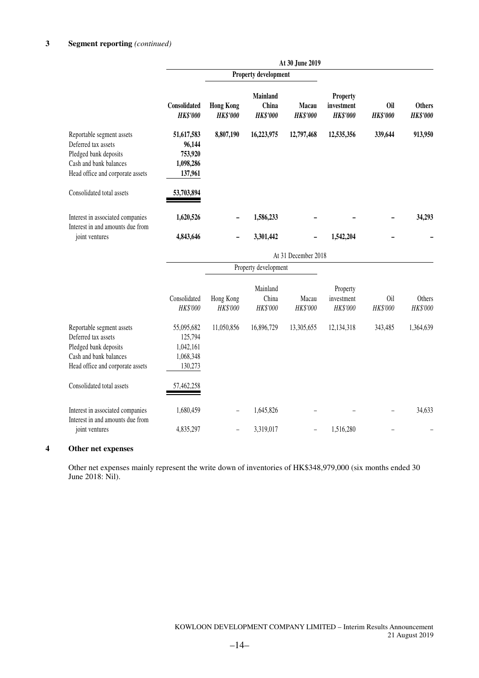|                                                                                                                                         |                                                            |                                     |                                      | At 30 June 2019          |                                           |                               |                                  |  |
|-----------------------------------------------------------------------------------------------------------------------------------------|------------------------------------------------------------|-------------------------------------|--------------------------------------|--------------------------|-------------------------------------------|-------------------------------|----------------------------------|--|
|                                                                                                                                         |                                                            |                                     | Property development                 |                          |                                           |                               |                                  |  |
|                                                                                                                                         | Consolidated<br><b>HK\$'000</b>                            | <b>Hong Kong</b><br><b>HK\$'000</b> | Mainland<br>China<br><b>HK\$'000</b> | Macau<br><b>HK\$'000</b> | Property<br>investment<br><b>HK\$'000</b> | <b>Oil</b><br><b>HK\$'000</b> | <b>Others</b><br><b>HK\$'000</b> |  |
| Reportable segment assets<br>Deferred tax assets<br>Pledged bank deposits<br>Cash and bank balances<br>Head office and corporate assets | 51,617,583<br>96,144<br>753,920<br>1,098,286<br>137,961    | 8,807,190                           | 16,223,975                           | 12,797,468               | 12,535,356                                | 339,644                       | 913,950                          |  |
| Consolidated total assets                                                                                                               | 53,703,894                                                 |                                     |                                      |                          |                                           |                               |                                  |  |
| Interest in associated companies<br>Interest in and amounts due from                                                                    | 1,620,526                                                  |                                     | 1,586,233                            |                          |                                           |                               | 34,293                           |  |
| joint ventures                                                                                                                          | 4,843,646                                                  |                                     | 3,301,442                            |                          | 1,542,204                                 |                               |                                  |  |
|                                                                                                                                         |                                                            | At 31 December 2018                 |                                      |                          |                                           |                               |                                  |  |
|                                                                                                                                         |                                                            |                                     | Property development                 |                          |                                           |                               |                                  |  |
|                                                                                                                                         | Consolidated<br>HK\$'000                                   | Hong Kong<br>HK\$'000               | Mainland<br>China<br>HK\$'000        | Macau<br>HK\$'000        | Property<br>investment<br>HK\$'000        | Oil<br>HK\$'000               | Others<br>HK\$'000               |  |
| Reportable segment assets<br>Deferred tax assets<br>Pledged bank deposits<br>Cash and bank balances<br>Head office and corporate assets | 55,095,682<br>125,794<br>1,042,161<br>1,068,348<br>130,273 | 11,050,856                          | 16,896,729                           | 13,305,655               | 12,134,318                                | 343,485                       | 1,364,639                        |  |
| Consolidated total assets                                                                                                               | 57,462,258                                                 |                                     |                                      |                          |                                           |                               |                                  |  |
| Interest in associated companies<br>Interest in and amounts due from                                                                    | 1,680,459                                                  |                                     | 1,645,826                            |                          |                                           |                               | 34,633                           |  |
| joint ventures                                                                                                                          | 4,835,297                                                  |                                     | 3,319,017                            |                          | 1,516,280                                 |                               |                                  |  |

### **4 Other net expenses**

Other net expenses mainly represent the write down of inventories of HK\$348,979,000 (six months ended 30 June 2018: Nil).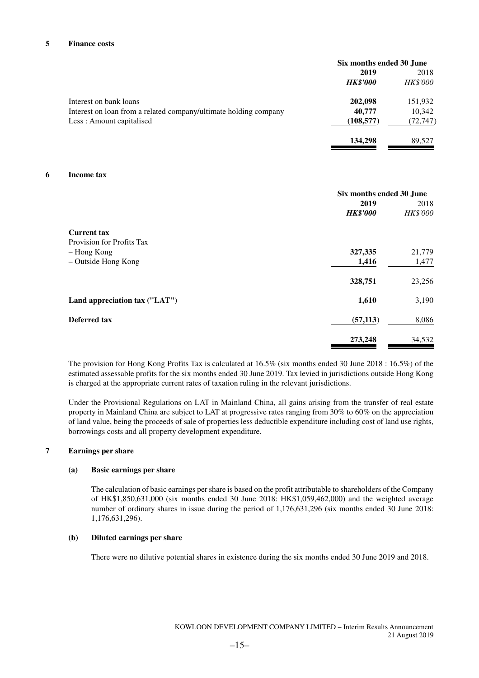#### **5 Finance costs**

|                                                                  | Six months ended 30 June |                 |
|------------------------------------------------------------------|--------------------------|-----------------|
|                                                                  | 2019                     | 2018            |
|                                                                  | <b>HK\$'000</b>          | <b>HK\$'000</b> |
| Interest on bank loans                                           | 202,098                  | 151,932         |
| Interest on loan from a related company/ultimate holding company | 40,777                   | 10,342          |
| Less: Amount capitalised                                         | (108, 577)               | (72, 747)       |
|                                                                  | 134,298                  | 89.527          |

#### **6 Income tax**

|                               | Six months ended 30 June<br>2019 | 2018            |
|-------------------------------|----------------------------------|-----------------|
|                               | <b>HK\$'000</b>                  | <b>HK\$'000</b> |
| <b>Current tax</b>            |                                  |                 |
| Provision for Profits Tax     |                                  |                 |
| - Hong Kong                   | 327,335                          | 21,779          |
| - Outside Hong Kong           | 1,416                            | 1,477           |
|                               | 328,751                          | 23,256          |
| Land appreciation tax ("LAT") | 1,610                            | 3,190           |
| Deferred tax                  | (57, 113)                        | 8,086           |
|                               | 273,248                          | 34,532          |

The provision for Hong Kong Profits Tax is calculated at 16.5% (six months ended 30 June 2018 : 16.5%) of the estimated assessable profits for the six months ended 30 June 2019. Tax levied in jurisdictions outside Hong Kong is charged at the appropriate current rates of taxation ruling in the relevant jurisdictions.

Under the Provisional Regulations on LAT in Mainland China, all gains arising from the transfer of real estate property in Mainland China are subject to LAT at progressive rates ranging from 30% to 60% on the appreciation of land value, being the proceeds of sale of properties less deductible expenditure including cost of land use rights, borrowings costs and all property development expenditure.

### **7 Earnings per share**

### **(a) Basic earnings per share**

The calculation of basic earnings per share is based on the profit attributable to shareholders of the Company of HK\$1,850,631,000 (six months ended 30 June 2018: HK\$1,059,462,000) and the weighted average number of ordinary shares in issue during the period of 1,176,631,296 (six months ended 30 June 2018: 1,176,631,296).

#### **(b) Diluted earnings per share**

There were no dilutive potential shares in existence during the six months ended 30 June 2019 and 2018.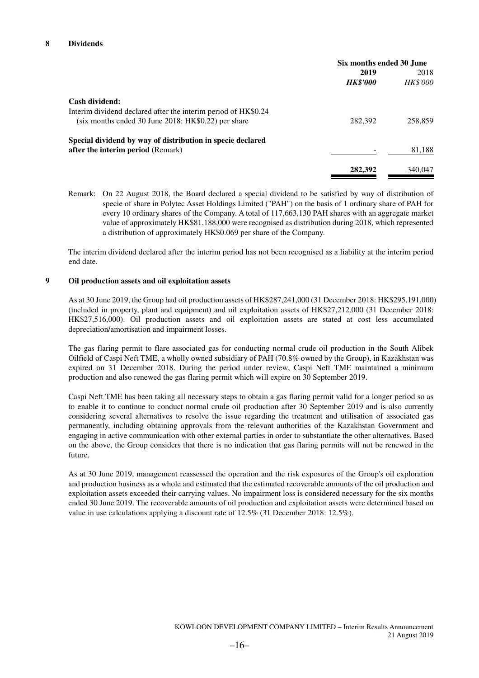|                                                                | Six months ended 30 June |                 |
|----------------------------------------------------------------|--------------------------|-----------------|
|                                                                | 2019                     | 2018            |
|                                                                | <b>HK\$'000</b>          | <b>HK\$'000</b> |
| Cash dividend:                                                 |                          |                 |
| Interim dividend declared after the interim period of HK\$0.24 |                          |                 |
| $(six$ months ended 30 June 2018: HK\$0.22) per share          | 282,392                  | 258,859         |
| Special dividend by way of distribution in specie declared     |                          |                 |
| <b>after the interim period</b> (Remark)                       |                          | 81,188          |
|                                                                | 282,392                  | 340.047         |
|                                                                |                          |                 |

Remark: On 22 August 2018, the Board declared a special dividend to be satisfied by way of distribution of specie of share in Polytec Asset Holdings Limited ("PAH") on the basis of 1 ordinary share of PAH for every 10 ordinary shares of the Company. A total of 117,663,130 PAH shares with an aggregate market value of approximately HK\$81,188,000 were recognised as distribution during 2018, which represented a distribution of approximately HK\$0.069 per share of the Company.

The interim dividend declared after the interim period has not been recognised as a liability at the interim period end date.

#### **9 Oil production assets and oil exploitation assets**

As at 30 June 2019, the Group had oil production assets of HK\$287,241,000 (31 December 2018: HK\$295,191,000) (included in property, plant and equipment) and oil exploitation assets of HK\$27,212,000 (31 December 2018: HK\$27,516,000). Oil production assets and oil exploitation assets are stated at cost less accumulated depreciation/amortisation and impairment losses.

The gas flaring permit to flare associated gas for conducting normal crude oil production in the South Alibek Oilfield of Caspi Neft TME, a wholly owned subsidiary of PAH (70.8% owned by the Group), in Kazakhstan was expired on 31 December 2018. During the period under review, Caspi Neft TME maintained a minimum production and also renewed the gas flaring permit which will expire on 30 September 2019.

Caspi Neft TME has been taking all necessary steps to obtain a gas flaring permit valid for a longer period so as to enable it to continue to conduct normal crude oil production after 30 September 2019 and is also currently considering several alternatives to resolve the issue regarding the treatment and utilisation of associated gas permanently, including obtaining approvals from the relevant authorities of the Kazakhstan Government and engaging in active communication with other external parties in order to substantiate the other alternatives. Based on the above, the Group considers that there is no indication that gas flaring permits will not be renewed in the future.

As at 30 June 2019, management reassessed the operation and the risk exposures of the Group's oil exploration and production business as a whole and estimated that the estimated recoverable amounts of the oil production and exploitation assets exceeded their carrying values. No impairment loss is considered necessary for the six months ended 30 June 2019. The recoverable amounts of oil production and exploitation assets were determined based on value in use calculations applying a discount rate of 12.5% (31 December 2018: 12.5%).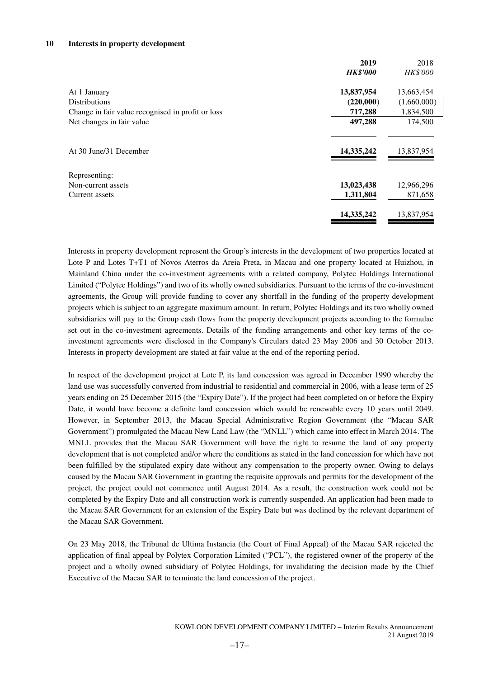#### **10 Interests in property development**

|                                                   | 2019            | 2018        |
|---------------------------------------------------|-----------------|-------------|
|                                                   | <b>HK\$'000</b> | HK\$'000    |
| At 1 January                                      | 13,837,954      | 13,663,454  |
| <b>Distributions</b>                              | (220,000)       | (1,660,000) |
| Change in fair value recognised in profit or loss | 717,288         | 1,834,500   |
| Net changes in fair value                         | 497,288         | 174,500     |
|                                                   |                 |             |
| At 30 June/31 December                            | 14,335,242      | 13,837,954  |
| Representing:                                     |                 |             |
| Non-current assets                                | 13,023,438      | 12,966,296  |
| Current assets                                    | 1,311,804       | 871,658     |
|                                                   | 14,335,242      | 13,837,954  |

Interests in property development represent the Group's interests in the development of two properties located at Lote P and Lotes T+T1 of Novos Aterros da Areia Preta, in Macau and one property located at Huizhou, in Mainland China under the co-investment agreements with a related company, Polytec Holdings International Limited ("Polytec Holdings") and two of its wholly owned subsidiaries. Pursuant to the terms of the co-investment agreements, the Group will provide funding to cover any shortfall in the funding of the property development projects which is subject to an aggregate maximum amount. In return, Polytec Holdings and its two wholly owned subsidiaries will pay to the Group cash flows from the property development projects according to the formulae set out in the co-investment agreements. Details of the funding arrangements and other key terms of the coinvestment agreements were disclosed in the Company's Circulars dated 23 May 2006 and 30 October 2013. Interests in property development are stated at fair value at the end of the reporting period.

In respect of the development project at Lote P, its land concession was agreed in December 1990 whereby the land use was successfully converted from industrial to residential and commercial in 2006, with a lease term of 25 years ending on 25 December 2015 (the "Expiry Date"). If the project had been completed on or before the Expiry Date, it would have become a definite land concession which would be renewable every 10 years until 2049. However, in September 2013, the Macau Special Administrative Region Government (the "Macau SAR Government") promulgated the Macau New Land Law (the "MNLL") which came into effect in March 2014. The MNLL provides that the Macau SAR Government will have the right to resume the land of any property development that is not completed and/or where the conditions as stated in the land concession for which have not been fulfilled by the stipulated expiry date without any compensation to the property owner. Owing to delays caused by the Macau SAR Government in granting the requisite approvals and permits for the development of the project, the project could not commence until August 2014. As a result, the construction work could not be completed by the Expiry Date and all construction work is currently suspended. An application had been made to the Macau SAR Government for an extension of the Expiry Date but was declined by the relevant department of the Macau SAR Government.

On 23 May 2018, the Tribunal de Ultima Instancia (the Court of Final Appeal) of the Macau SAR rejected the application of final appeal by Polytex Corporation Limited ("PCL"), the registered owner of the property of the project and a wholly owned subsidiary of Polytec Holdings, for invalidating the decision made by the Chief Executive of the Macau SAR to terminate the land concession of the project.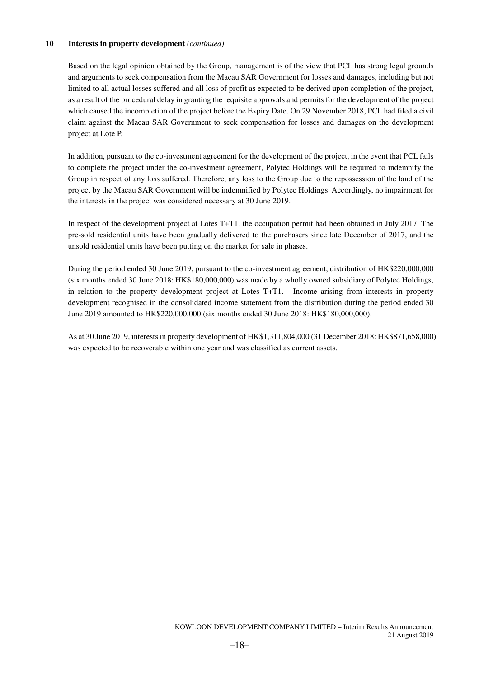### **10 Interests in property development** *(continued)*

Based on the legal opinion obtained by the Group, management is of the view that PCL has strong legal grounds and arguments to seek compensation from the Macau SAR Government for losses and damages, including but not limited to all actual losses suffered and all loss of profit as expected to be derived upon completion of the project, as a result of the procedural delay in granting the requisite approvals and permits for the development of the project which caused the incompletion of the project before the Expiry Date. On 29 November 2018, PCL had filed a civil claim against the Macau SAR Government to seek compensation for losses and damages on the development project at Lote P.

In addition, pursuant to the co-investment agreement for the development of the project, in the event that PCL fails to complete the project under the co-investment agreement, Polytec Holdings will be required to indemnify the Group in respect of any loss suffered. Therefore, any loss to the Group due to the repossession of the land of the project by the Macau SAR Government will be indemnified by Polytec Holdings. Accordingly, no impairment for the interests in the project was considered necessary at 30 June 2019.

In respect of the development project at Lotes T+T1, the occupation permit had been obtained in July 2017. The pre-sold residential units have been gradually delivered to the purchasers since late December of 2017, and the unsold residential units have been putting on the market for sale in phases.

During the period ended 30 June 2019, pursuant to the co-investment agreement, distribution of HK\$220,000,000 (six months ended 30 June 2018: HK\$180,000,000) was made by a wholly owned subsidiary of Polytec Holdings, in relation to the property development project at Lotes T+T1. Income arising from interests in property development recognised in the consolidated income statement from the distribution during the period ended 30 June 2019 amounted to HK\$220,000,000 (six months ended 30 June 2018: HK\$180,000,000).

As at 30 June 2019, interests in property development of HK\$1,311,804,000 (31 December 2018: HK\$871,658,000) was expected to be recoverable within one year and was classified as current assets.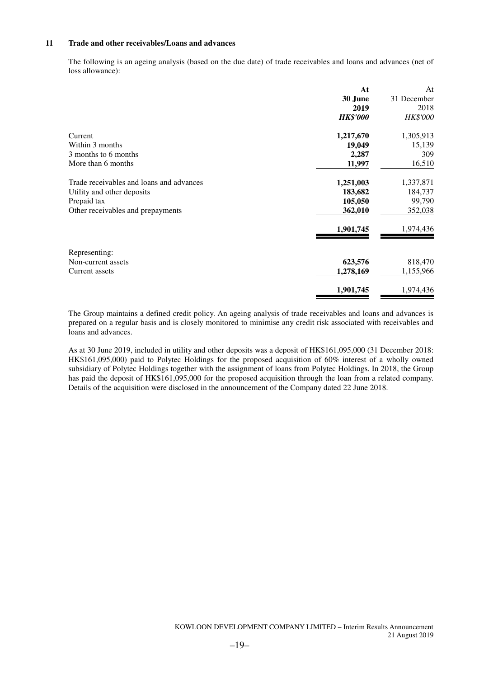#### **11 Trade and other receivables/Loans and advances**

The following is an ageing analysis (based on the due date) of trade receivables and loans and advances (net of loss allowance):

|                                          | At              | At              |
|------------------------------------------|-----------------|-----------------|
|                                          | 30 June         | 31 December     |
|                                          | 2019            | 2018            |
|                                          | <b>HK\$'000</b> | <b>HK\$'000</b> |
| Current                                  | 1,217,670       | 1,305,913       |
| Within 3 months                          | 19,049          | 15,139          |
| 3 months to 6 months                     | 2,287           | 309             |
| More than 6 months                       | 11,997          | 16,510          |
| Trade receivables and loans and advances | 1,251,003       | 1,337,871       |
| Utility and other deposits               | 183,682         | 184,737         |
| Prepaid tax                              | 105,050         | 99,790          |
| Other receivables and prepayments        | 362,010         | 352,038         |
|                                          | 1,901,745       | 1,974,436       |
| Representing:                            |                 |                 |
| Non-current assets                       | 623,576         | 818,470         |
| Current assets                           | 1,278,169       | 1,155,966       |
|                                          | 1,901,745       | 1,974,436       |

The Group maintains a defined credit policy. An ageing analysis of trade receivables and loans and advances is prepared on a regular basis and is closely monitored to minimise any credit risk associated with receivables and loans and advances.

As at 30 June 2019, included in utility and other deposits was a deposit of HK\$161,095,000 (31 December 2018: HK\$161,095,000) paid to Polytec Holdings for the proposed acquisition of 60% interest of a wholly owned subsidiary of Polytec Holdings together with the assignment of loans from Polytec Holdings. In 2018, the Group has paid the deposit of HK\$161,095,000 for the proposed acquisition through the loan from a related company. Details of the acquisition were disclosed in the announcement of the Company dated 22 June 2018.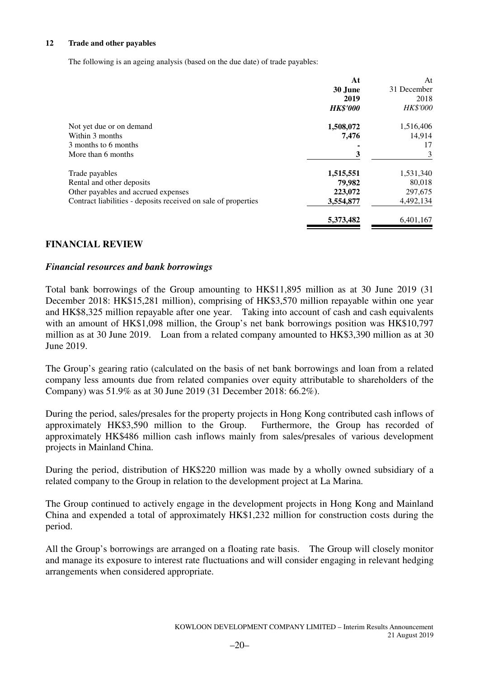### **12 Trade and other payables**

The following is an ageing analysis (based on the due date) of trade payables:

|                                                                | At              | At              |
|----------------------------------------------------------------|-----------------|-----------------|
|                                                                | 30 June         | 31 December     |
|                                                                | 2019            | 2018            |
|                                                                | <b>HK\$'000</b> | <b>HK\$'000</b> |
| Not yet due or on demand                                       | 1,508,072       | 1,516,406       |
| Within 3 months                                                | 7,476           | 14,914          |
| 3 months to 6 months                                           |                 | 17              |
| More than 6 months                                             | 3               | 3               |
| Trade payables                                                 | 1,515,551       | 1,531,340       |
| Rental and other deposits                                      | 79,982          | 80,018          |
| Other payables and accrued expenses                            | 223,072         | 297,675         |
| Contract liabilities - deposits received on sale of properties | 3,554,877       | 4,492,134       |
|                                                                | 5,373,482       | 6,401,167       |

### **FINANCIAL REVIEW**

### *Financial resources and bank borrowings*

Total bank borrowings of the Group amounting to HK\$11,895 million as at 30 June 2019 (31 December 2018: HK\$15,281 million), comprising of HK\$3,570 million repayable within one year and HK\$8,325 million repayable after one year. Taking into account of cash and cash equivalents with an amount of HK\$1,098 million, the Group's net bank borrowings position was HK\$10,797 million as at 30 June 2019. Loan from a related company amounted to HK\$3,390 million as at 30 June 2019.

The Group's gearing ratio (calculated on the basis of net bank borrowings and loan from a related company less amounts due from related companies over equity attributable to shareholders of the Company) was 51.9% as at 30 June 2019 (31 December 2018: 66.2%).

During the period, sales/presales for the property projects in Hong Kong contributed cash inflows of approximately HK\$3,590 million to the Group. Furthermore, the Group has recorded of approximately HK\$486 million cash inflows mainly from sales/presales of various development projects in Mainland China.

During the period, distribution of HK\$220 million was made by a wholly owned subsidiary of a related company to the Group in relation to the development project at La Marina.

The Group continued to actively engage in the development projects in Hong Kong and Mainland China and expended a total of approximately HK\$1,232 million for construction costs during the period.

All the Group's borrowings are arranged on a floating rate basis. The Group will closely monitor and manage its exposure to interest rate fluctuations and will consider engaging in relevant hedging arrangements when considered appropriate.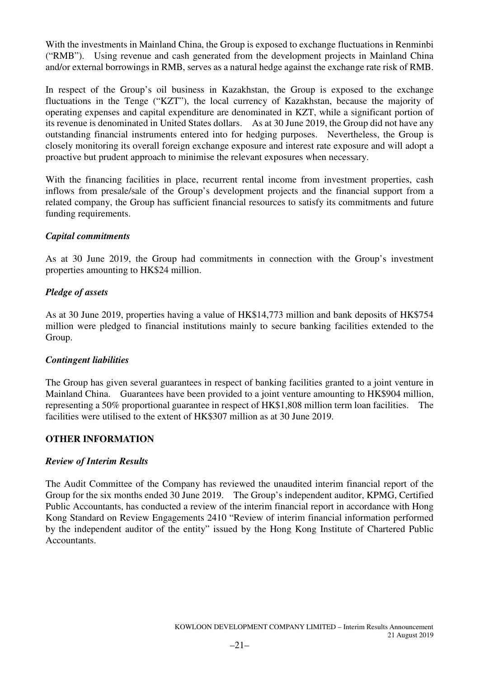With the investments in Mainland China, the Group is exposed to exchange fluctuations in Renminbi ("RMB"). Using revenue and cash generated from the development projects in Mainland China and/or external borrowings in RMB, serves as a natural hedge against the exchange rate risk of RMB.

In respect of the Group's oil business in Kazakhstan, the Group is exposed to the exchange fluctuations in the Tenge ("KZT"), the local currency of Kazakhstan, because the majority of operating expenses and capital expenditure are denominated in KZT, while a significant portion of its revenue is denominated in United States dollars. As at 30 June 2019, the Group did not have any outstanding financial instruments entered into for hedging purposes. Nevertheless, the Group is closely monitoring its overall foreign exchange exposure and interest rate exposure and will adopt a proactive but prudent approach to minimise the relevant exposures when necessary.

With the financing facilities in place, recurrent rental income from investment properties, cash inflows from presale/sale of the Group's development projects and the financial support from a related company, the Group has sufficient financial resources to satisfy its commitments and future funding requirements.

# *Capital commitments*

As at 30 June 2019, the Group had commitments in connection with the Group's investment properties amounting to HK\$24 million.

# *Pledge of assets*

As at 30 June 2019, properties having a value of HK\$14,773 million and bank deposits of HK\$754 million were pledged to financial institutions mainly to secure banking facilities extended to the Group.

### *Contingent liabilities*

The Group has given several guarantees in respect of banking facilities granted to a joint venture in Mainland China. Guarantees have been provided to a joint venture amounting to HK\$904 million, representing a 50% proportional guarantee in respect of HK\$1,808 million term loan facilities. The facilities were utilised to the extent of HK\$307 million as at 30 June 2019.

### **OTHER INFORMATION**

### *Review of Interim Results*

The Audit Committee of the Company has reviewed the unaudited interim financial report of the Group for the six months ended 30 June 2019. The Group's independent auditor, KPMG, Certified Public Accountants, has conducted a review of the interim financial report in accordance with Hong Kong Standard on Review Engagements 2410 "Review of interim financial information performed by the independent auditor of the entity" issued by the Hong Kong Institute of Chartered Public Accountants.